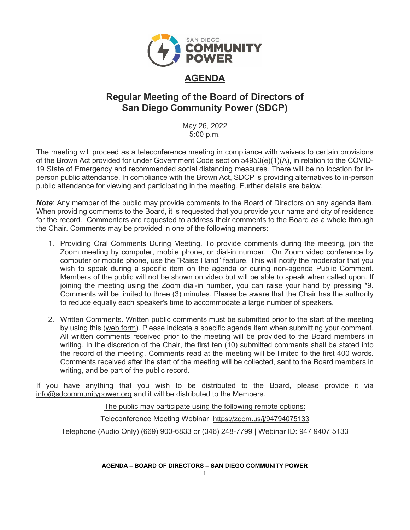

# **AGENDA**

# **Regular Meeting of the Board of Directors of San Diego Community Power (SDCP)**

May 26, 2022 5:00 p.m.

The meeting will proceed as a teleconference meeting in compliance with waivers to certain provisions of the Brown Act provided for under Government Code section 54953(e)(1)(A), in relation to the COVID-19 State of Emergency and recommended social distancing measures. There will be no location for inperson public attendance. In compliance with the Brown Act, SDCP is providing alternatives to in-person public attendance for viewing and participating in the meeting. Further details are below.

*Note*: Any member of the public may provide comments to the Board of Directors on any agenda item. When providing comments to the Board, it is requested that you provide your name and city of residence for the record. Commenters are requested to address their comments to the Board as a whole through the Chair. Comments may be provided in one of the following manners:

- 1. Providing Oral Comments During Meeting. To provide comments during the meeting, join the Zoom meeting by computer, mobile phone, or dial-in number. On Zoom video conference by computer or mobile phone, use the "Raise Hand" feature. This will notify the moderator that you wish to speak during a specific item on the agenda or during non-agenda Public Comment. Members of the public will not be shown on video but will be able to speak when called upon. If joining the meeting using the Zoom dial-in number, you can raise your hand by pressing \*9. Comments will be limited to three (3) minutes. Please be aware that the Chair has the authority to reduce equally each speaker's time to accommodate a large number of speakers.
- 2. Written Comments. Written public comments must be submitted prior to the start of the meeting by using this [\(web form\)](https://forms.office.com/Pages/ResponsePage.aspx?id=XSW4f6XpL0eDY7ffRWFpAXnBL1yZA6ZLqSFlS480ZGdUMjFYMEJVTFZYOUZYNU0xTVhPUlJIN1VWSS4u). Please indicate a specific agenda item when submitting your comment. All written comments received prior to the meeting will be provided to the Board members in writing. In the discretion of the Chair, the first ten (10) submitted comments shall be stated into the record of the meeting. Comments read at the meeting will be limited to the first 400 words. Comments received after the start of the meeting will be collected, sent to the Board members in writing, and be part of the public record.

If you have anything that you wish to be distributed to the Board, please provide it via [info@sdcommunitypower.org](mailto:info@sdcommunitypower.org) and it will be distributed to the Members.

The public may participate using the following remote options:

Teleconference Meeting Webinar [https://zoom.us/j/94794075133](https://www.google.com/url?q=https://zoom.us/j/94794075133&sa=D&source=calendar&ust=1616887069364000&usg=AOvVaw2-U-6hPIHkok0FazSYm5lQ)

Telephone (Audio Only) (669) 900-6833 or (346) 248-7799 | Webinar ID: 947 9407 5133

**AGENDA – BOARD OF DIRECTORS – SAN DIEGO COMMUNITY POWER**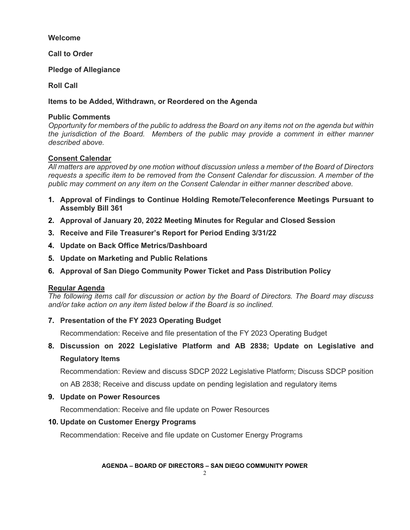# **Welcome**

**Call to Order**

**Pledge of Allegiance** 

**Roll Call**

**Items to be Added, Withdrawn, or Reordered on the Agenda**

# **Public Comments**

*Opportunity for members of the public to address the Board on any items not on the agenda but within the jurisdiction of the Board. Members of the public may provide a comment in either manner described above.* 

## **Consent Calendar**

*All matters are approved by one motion without discussion unless a member of the Board of Directors requests a specific item to be removed from the Consent Calendar for discussion. A member of the public may comment on any item on the Consent Calendar in either manner described above.* 

- **1. Approval of Findings to Continue Holding Remote/Teleconference Meetings Pursuant to Assembly Bill 361**
- **2. Approval of January 20, 2022 Meeting Minutes for Regular and Closed Session**
- **3. Receive and File Treasurer's Report for Period Ending 3/31/22**
- **4. Update on Back Office Metrics/Dashboard**
- **5. Update on Marketing and Public Relations**
- **6. Approval of San Diego Community Power Ticket and Pass Distribution Policy**

#### **Regular Agenda**

*The following items call for discussion or action by the Board of Directors. The Board may discuss and/or take action on any item listed below if the Board is so inclined.*

# **7. Presentation of the FY 2023 Operating Budget**

Recommendation: Receive and file presentation of the FY 2023 Operating Budget

**8. Discussion on 2022 Legislative Platform and AB 2838; Update on Legislative and Regulatory Items**

Recommendation: Review and discuss SDCP 2022 Legislative Platform; Discuss SDCP position

on AB 2838; Receive and discuss update on pending legislation and regulatory items

# **9. Update on Power Resources**

Recommendation: Receive and file update on Power Resources

# **10. Update on Customer Energy Programs**

Recommendation: Receive and file update on Customer Energy Programs

#### **AGENDA – BOARD OF DIRECTORS – SAN DIEGO COMMUNITY POWER**

 $\mathcal{D}$